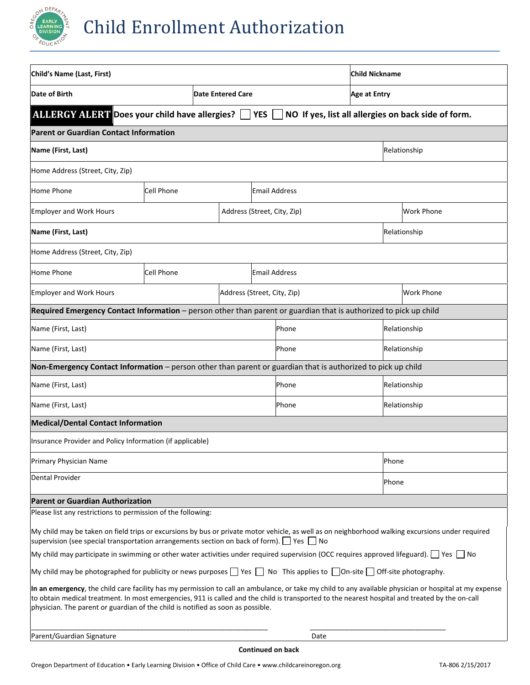

| Child's Name (Last, First)                                                                                                                                                                                                                                                                                                                                                                   |                                    |  |                             |               | <b>Child Nickname</b> |                     |                   |  |
|----------------------------------------------------------------------------------------------------------------------------------------------------------------------------------------------------------------------------------------------------------------------------------------------------------------------------------------------------------------------------------------------|------------------------------------|--|-----------------------------|---------------|-----------------------|---------------------|-------------------|--|
| Date of Birth                                                                                                                                                                                                                                                                                                                                                                                |                                    |  | <b>Date Entered Care</b>    |               |                       | <b>Age at Entry</b> |                   |  |
| ALLERGY ALERT Does your child have allergies?   YES   NO If yes, list all allergies on back side of form.                                                                                                                                                                                                                                                                                    |                                    |  |                             |               |                       |                     |                   |  |
| <b>Parent or Guardian Contact Information</b>                                                                                                                                                                                                                                                                                                                                                |                                    |  |                             |               |                       |                     |                   |  |
| Name (First, Last)                                                                                                                                                                                                                                                                                                                                                                           |                                    |  |                             |               |                       |                     | Relationship      |  |
| Home Address (Street, City, Zip)                                                                                                                                                                                                                                                                                                                                                             |                                    |  |                             |               |                       |                     |                   |  |
| Home Phone                                                                                                                                                                                                                                                                                                                                                                                   | <b>Cell Phone</b><br>Email Address |  |                             |               |                       |                     |                   |  |
| <b>Employer and Work Hours</b>                                                                                                                                                                                                                                                                                                                                                               |                                    |  | Address (Street, City, Zip) |               |                       |                     | <b>Work Phone</b> |  |
| Name (First, Last)                                                                                                                                                                                                                                                                                                                                                                           |                                    |  |                             |               |                       | Relationship        |                   |  |
| Home Address (Street, City, Zip)                                                                                                                                                                                                                                                                                                                                                             |                                    |  |                             |               |                       |                     |                   |  |
| Home Phone                                                                                                                                                                                                                                                                                                                                                                                   | <b>Cell Phone</b>                  |  |                             | Email Address |                       |                     |                   |  |
| <b>Employer and Work Hours</b>                                                                                                                                                                                                                                                                                                                                                               | Address (Street, City, Zip)        |  |                             |               |                       | <b>Work Phone</b>   |                   |  |
| Required Emergency Contact Information - person other than parent or guardian that is authorized to pick up child                                                                                                                                                                                                                                                                            |                                    |  |                             |               |                       |                     |                   |  |
| Name (First, Last)                                                                                                                                                                                                                                                                                                                                                                           |                                    |  |                             | Phone         |                       |                     | Relationship      |  |
| Name (First, Last)                                                                                                                                                                                                                                                                                                                                                                           |                                    |  |                             | Phone         |                       | Relationship        |                   |  |
| Non-Emergency Contact Information - person other than parent or guardian that is authorized to pick up child                                                                                                                                                                                                                                                                                 |                                    |  |                             |               |                       |                     |                   |  |
| Name (First, Last)                                                                                                                                                                                                                                                                                                                                                                           |                                    |  |                             | Phone         |                       | Relationship        |                   |  |
| Name (First, Last)                                                                                                                                                                                                                                                                                                                                                                           |                                    |  | Phone                       |               | Relationship          |                     |                   |  |
| <b>Medical/Dental Contact Information</b>                                                                                                                                                                                                                                                                                                                                                    |                                    |  |                             |               |                       |                     |                   |  |
| Insurance Provider and Policy Information (if applicable)                                                                                                                                                                                                                                                                                                                                    |                                    |  |                             |               |                       |                     |                   |  |
| Primary Physician Name                                                                                                                                                                                                                                                                                                                                                                       |                                    |  |                             |               |                       | Phone               |                   |  |
| <b>Dental Provider</b>                                                                                                                                                                                                                                                                                                                                                                       |                                    |  |                             |               | Phone                 |                     |                   |  |
| <b>Parent or Guardian Authorization</b>                                                                                                                                                                                                                                                                                                                                                      |                                    |  |                             |               |                       |                     |                   |  |
| Please list any restrictions to permission of the following:                                                                                                                                                                                                                                                                                                                                 |                                    |  |                             |               |                       |                     |                   |  |
| My child may be taken on field trips or excursions by bus or private motor vehicle, as well as on neighborhood walking excursions under required<br>supervision (see special transportation arrangements section on back of form). $\Box$ Yes $\Box$ No                                                                                                                                      |                                    |  |                             |               |                       |                     |                   |  |
| My child may participate in swimming or other water activities under required supervision (OCC requires approved lifeguard). $\Box$ Yes $\Box$ No                                                                                                                                                                                                                                            |                                    |  |                             |               |                       |                     |                   |  |
| My child may be photographed for publicity or news purposes $\Box$ Yes $\Box$ No This applies to $\Box$ On-site $\Box$ Off-site photography.                                                                                                                                                                                                                                                 |                                    |  |                             |               |                       |                     |                   |  |
| In an emergency, the child care facility has my permission to call an ambulance, or take my child to any available physician or hospital at my expense<br>to obtain medical treatment. In most emergencies, 911 is called and the child is transported to the nearest hospital and treated by the on-call<br>physician. The parent or guardian of the child is notified as soon as possible. |                                    |  |                             |               |                       |                     |                   |  |
| Parent/Guardian Signature                                                                                                                                                                                                                                                                                                                                                                    |                                    |  |                             | Date          |                       |                     |                   |  |
|                                                                                                                                                                                                                                                                                                                                                                                              |                                    |  |                             |               |                       |                     |                   |  |